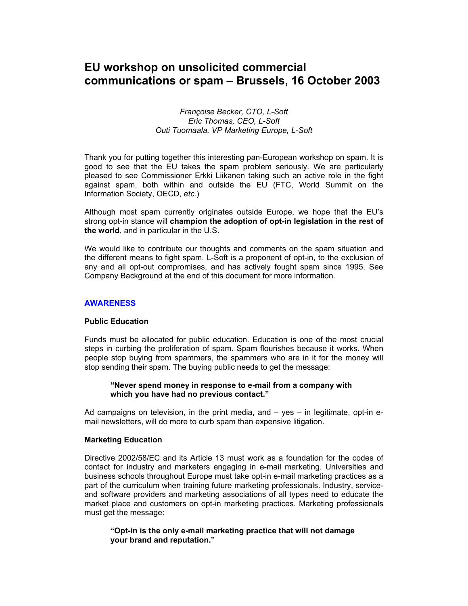# **EU workshop on unsolicited commercial communications or spam – Brussels, 16 October 2003**

### *Françoise Becker, CTO, L-Soft Eric Thomas, CEO, L-Soft Outi Tuomaala, VP Marketing Europe, L-Soft*

Thank you for putting together this interesting pan-European workshop on spam. It is good to see that the EU takes the spam problem seriously. We are particularly pleased to see Commissioner Erkki Liikanen taking such an active role in the fight against spam, both within and outside the EU (FTC, World Summit on the Information Society, OECD, *etc.*)

Although most spam currently originates outside Europe, we hope that the EU's strong opt-in stance will **champion the adoption of opt-in legislation in the rest of the world**, and in particular in the U.S.

We would like to contribute our thoughts and comments on the spam situation and the different means to fight spam. L-Soft is a proponent of opt-in, to the exclusion of any and all opt-out compromises, and has actively fought spam since 1995. See Company Background at the end of this document for more information.

#### **AWARENESS**

### **Public Education**

Funds must be allocated for public education. Education is one of the most crucial steps in curbing the proliferation of spam. Spam flourishes because it works. When people stop buying from spammers, the spammers who are in it for the money will stop sending their spam. The buying public needs to get the message:

#### **"Never spend money in response to e-mail from a company with which you have had no previous contact."**

Ad campaigns on television, in the print media, and  $-$  yes  $-$  in legitimate, opt-in email newsletters, will do more to curb spam than expensive litigation.

### **Marketing Education**

Directive 2002/58/EC and its Article 13 must work as a foundation for the codes of contact for industry and marketers engaging in e-mail marketing. Universities and business schools throughout Europe must take opt-in e-mail marketing practices as a part of the curriculum when training future marketing professionals. Industry, serviceand software providers and marketing associations of all types need to educate the market place and customers on opt-in marketing practices. Marketing professionals must get the message:

## **"Opt-in is the only e-mail marketing practice that will not damage your brand and reputation."**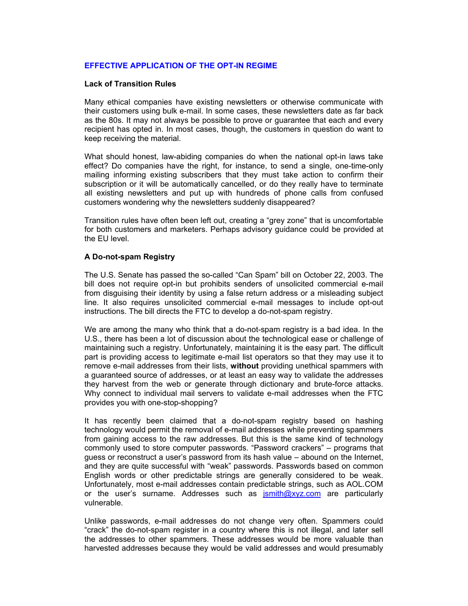# **EFFECTIVE APPLICATION OF THE OPT-IN REGIME**

## **Lack of Transition Rules**

Many ethical companies have existing newsletters or otherwise communicate with their customers using bulk e-mail. In some cases, these newsletters date as far back as the 80s. It may not always be possible to prove or guarantee that each and every recipient has opted in. In most cases, though, the customers in question do want to keep receiving the material.

What should honest, law-abiding companies do when the national opt-in laws take effect? Do companies have the right, for instance, to send a single, one-time-only mailing informing existing subscribers that they must take action to confirm their subscription or it will be automatically cancelled, or do they really have to terminate all existing newsletters and put up with hundreds of phone calls from confused customers wondering why the newsletters suddenly disappeared?

Transition rules have often been left out, creating a "grey zone" that is uncomfortable for both customers and marketers. Perhaps advisory guidance could be provided at the EU level.

### **A Do-not-spam Registry**

The U.S. Senate has passed the so-called "Can Spam" bill on October 22, 2003. The bill does not require opt-in but prohibits senders of unsolicited commercial e-mail from disguising their identity by using a false return address or a misleading subject line. It also requires unsolicited commercial e-mail messages to include opt-out instructions. The bill directs the FTC to develop a do-not-spam registry.

We are among the many who think that a do-not-spam registry is a bad idea. In the U.S., there has been a lot of discussion about the technological ease or challenge of maintaining such a registry. Unfortunately, maintaining it is the easy part. The difficult part is providing access to legitimate e-mail list operators so that they may use it to remove e-mail addresses from their lists, **without** providing unethical spammers with a guaranteed source of addresses, or at least an easy way to validate the addresses they harvest from the web or generate through dictionary and brute-force attacks. Why connect to individual mail servers to validate e-mail addresses when the FTC provides you with one-stop-shopping?

It has recently been claimed that a do-not-spam registry based on hashing technology would permit the removal of e-mail addresses while preventing spammers from gaining access to the raw addresses. But this is the same kind of technology commonly used to store computer passwords. "Password crackers" – programs that guess or reconstruct a user's password from its hash value – abound on the Internet, and they are quite successful with "weak" passwords. Passwords based on common English words or other predictable strings are generally considered to be weak. Unfortunately, most e-mail addresses contain predictable strings, such as AOL.COM or the user's surname. Addresses such as  $\frac{1}{2}$  surith@xyz.com are particularly vulnerable.

Unlike passwords, e-mail addresses do not change very often. Spammers could "crack" the do-not-spam register in a country where this is not illegal, and later sell the addresses to other spammers. These addresses would be more valuable than harvested addresses because they would be valid addresses and would presumably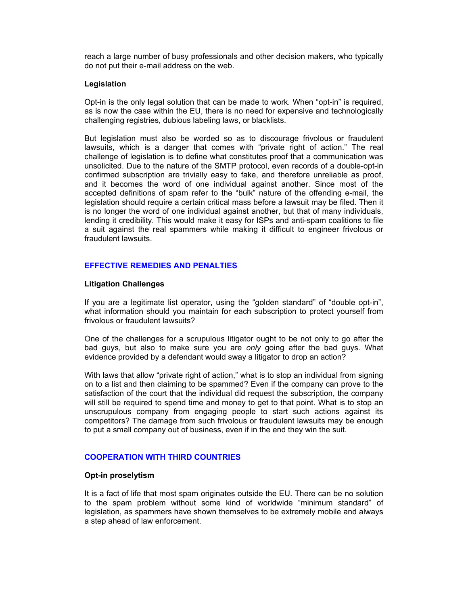reach a large number of busy professionals and other decision makers, who typically do not put their e-mail address on the web.

### **Legislation**

Opt-in is the only legal solution that can be made to work. When "opt-in" is required, as is now the case within the EU, there is no need for expensive and technologically challenging registries, dubious labeling laws, or blacklists.

But legislation must also be worded so as to discourage frivolous or fraudulent lawsuits, which is a danger that comes with "private right of action." The real challenge of legislation is to define what constitutes proof that a communication was unsolicited. Due to the nature of the SMTP protocol, even records of a double-opt-in confirmed subscription are trivially easy to fake, and therefore unreliable as proof, and it becomes the word of one individual against another. Since most of the accepted definitions of spam refer to the "bulk" nature of the offending e-mail, the legislation should require a certain critical mass before a lawsuit may be filed. Then it is no longer the word of one individual against another, but that of many individuals, lending it credibility. This would make it easy for ISPs and anti-spam coalitions to file a suit against the real spammers while making it difficult to engineer frivolous or fraudulent lawsuits.

## **EFFECTIVE REMEDIES AND PENALTIES**

#### **Litigation Challenges**

If you are a legitimate list operator, using the "golden standard" of "double opt-in", what information should you maintain for each subscription to protect yourself from frivolous or fraudulent lawsuits?

One of the challenges for a scrupulous litigator ought to be not only to go after the bad guys, but also to make sure you are *only* going after the bad guys. What evidence provided by a defendant would sway a litigator to drop an action?

With laws that allow "private right of action," what is to stop an individual from signing on to a list and then claiming to be spammed? Even if the company can prove to the satisfaction of the court that the individual did request the subscription, the company will still be required to spend time and money to get to that point. What is to stop an unscrupulous company from engaging people to start such actions against its competitors? The damage from such frivolous or fraudulent lawsuits may be enough to put a small company out of business, even if in the end they win the suit.

### **COOPERATION WITH THIRD COUNTRIES**

#### **Opt-in proselytism**

It is a fact of life that most spam originates outside the EU. There can be no solution to the spam problem without some kind of worldwide "minimum standard" of legislation, as spammers have shown themselves to be extremely mobile and always a step ahead of law enforcement.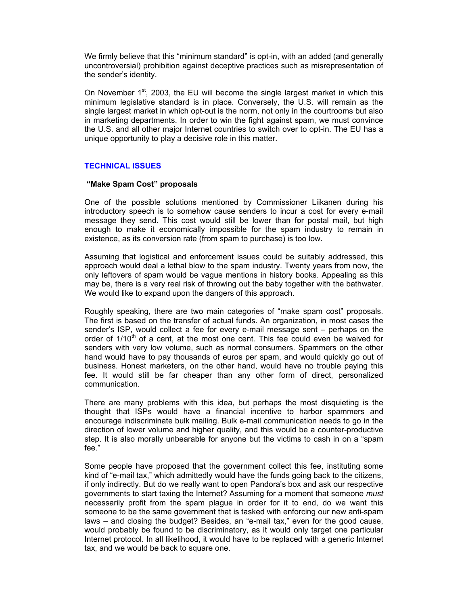We firmly believe that this "minimum standard" is opt-in, with an added (and generally uncontroversial) prohibition against deceptive practices such as misrepresentation of the sender's identity.

On November  $1<sup>st</sup>$ , 2003, the EU will become the single largest market in which this minimum legislative standard is in place. Conversely, the U.S. will remain as the single largest market in which opt-out is the norm, not only in the courtrooms but also in marketing departments. In order to win the fight against spam, we must convince the U.S. and all other major Internet countries to switch over to opt-in. The EU has a unique opportunity to play a decisive role in this matter.

## **TECHNICAL ISSUES**

### **"Make Spam Cost" proposals**

One of the possible solutions mentioned by Commissioner Liikanen during his introductory speech is to somehow cause senders to incur a cost for every e-mail message they send. This cost would still be lower than for postal mail, but high enough to make it economically impossible for the spam industry to remain in existence, as its conversion rate (from spam to purchase) is too low.

Assuming that logistical and enforcement issues could be suitably addressed, this approach would deal a lethal blow to the spam industry. Twenty years from now, the only leftovers of spam would be vague mentions in history books. Appealing as this may be, there is a very real risk of throwing out the baby together with the bathwater. We would like to expand upon the dangers of this approach.

Roughly speaking, there are two main categories of "make spam cost" proposals. The first is based on the transfer of actual funds. An organization, in most cases the sender's ISP, would collect a fee for every e-mail message sent – perhaps on the order of  $1/10<sup>th</sup>$  of a cent, at the most one cent. This fee could even be waived for senders with very low volume, such as normal consumers. Spammers on the other hand would have to pay thousands of euros per spam, and would quickly go out of business. Honest marketers, on the other hand, would have no trouble paying this fee. It would still be far cheaper than any other form of direct, personalized communication.

There are many problems with this idea, but perhaps the most disquieting is the thought that ISPs would have a financial incentive to harbor spammers and encourage indiscriminate bulk mailing. Bulk e-mail communication needs to go in the direction of lower volume and higher quality, and this would be a counter-productive step. It is also morally unbearable for anyone but the victims to cash in on a "spam fee."

Some people have proposed that the government collect this fee, instituting some kind of "e-mail tax," which admittedly would have the funds going back to the citizens, if only indirectly. But do we really want to open Pandora's box and ask our respective governments to start taxing the Internet? Assuming for a moment that someone *must* necessarily profit from the spam plague in order for it to end, do we want this someone to be the same government that is tasked with enforcing our new anti-spam laws – and closing the budget? Besides, an "e-mail tax," even for the good cause, would probably be found to be discriminatory, as it would only target one particular Internet protocol. In all likelihood, it would have to be replaced with a generic Internet tax, and we would be back to square one.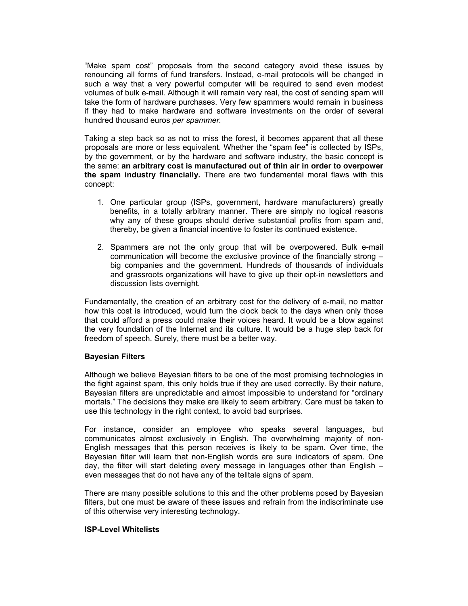"Make spam cost" proposals from the second category avoid these issues by renouncing all forms of fund transfers. Instead, e-mail protocols will be changed in such a way that a very powerful computer will be required to send even modest volumes of bulk e-mail. Although it will remain very real, the cost of sending spam will take the form of hardware purchases. Very few spammers would remain in business if they had to make hardware and software investments on the order of several hundred thousand euros *per spammer.*

Taking a step back so as not to miss the forest, it becomes apparent that all these proposals are more or less equivalent. Whether the "spam fee" is collected by ISPs, by the government, or by the hardware and software industry, the basic concept is the same: **an arbitrary cost is manufactured out of thin air in order to overpower the spam industry financially.** There are two fundamental moral flaws with this concept:

- 1. One particular group (ISPs, government, hardware manufacturers) greatly benefits, in a totally arbitrary manner. There are simply no logical reasons why any of these groups should derive substantial profits from spam and, thereby, be given a financial incentive to foster its continued existence.
- 2. Spammers are not the only group that will be overpowered. Bulk e-mail communication will become the exclusive province of the financially strong – big companies and the government. Hundreds of thousands of individuals and grassroots organizations will have to give up their opt-in newsletters and discussion lists overnight.

Fundamentally, the creation of an arbitrary cost for the delivery of e-mail, no matter how this cost is introduced, would turn the clock back to the days when only those that could afford a press could make their voices heard. It would be a blow against the very foundation of the Internet and its culture. It would be a huge step back for freedom of speech. Surely, there must be a better way.

### **Bayesian Filters**

Although we believe Bayesian filters to be one of the most promising technologies in the fight against spam, this only holds true if they are used correctly. By their nature, Bayesian filters are unpredictable and almost impossible to understand for "ordinary mortals." The decisions they make are likely to seem arbitrary. Care must be taken to use this technology in the right context, to avoid bad surprises.

For instance, consider an employee who speaks several languages, but communicates almost exclusively in English. The overwhelming majority of non-English messages that this person receives is likely to be spam. Over time, the Bayesian filter will learn that non-English words are sure indicators of spam. One day, the filter will start deleting every message in languages other than English – even messages that do not have any of the telltale signs of spam.

There are many possible solutions to this and the other problems posed by Bayesian filters, but one must be aware of these issues and refrain from the indiscriminate use of this otherwise very interesting technology.

# **ISP-Level Whitelists**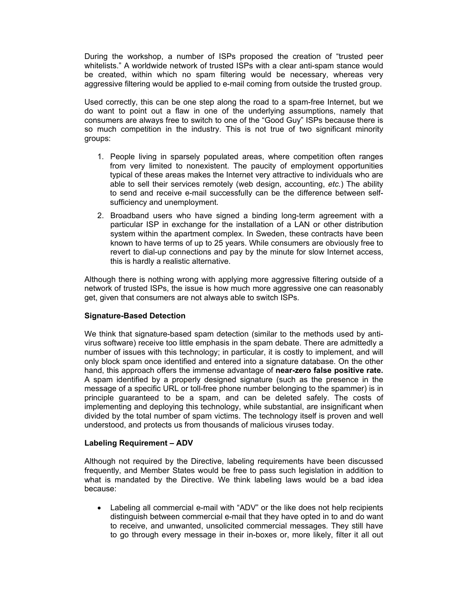During the workshop, a number of ISPs proposed the creation of "trusted peer whitelists." A worldwide network of trusted ISPs with a clear anti-spam stance would be created, within which no spam filtering would be necessary, whereas very aggressive filtering would be applied to e-mail coming from outside the trusted group.

Used correctly, this can be one step along the road to a spam-free Internet, but we do want to point out a flaw in one of the underlying assumptions, namely that consumers are always free to switch to one of the "Good Guy" ISPs because there is so much competition in the industry. This is not true of two significant minority groups:

- 1. People living in sparsely populated areas, where competition often ranges from very limited to nonexistent. The paucity of employment opportunities typical of these areas makes the Internet very attractive to individuals who are able to sell their services remotely (web design, accounting, *etc.*) The ability to send and receive e-mail successfully can be the difference between selfsufficiency and unemployment.
- 2. Broadband users who have signed a binding long-term agreement with a particular ISP in exchange for the installation of a LAN or other distribution system within the apartment complex. In Sweden, these contracts have been known to have terms of up to 25 years. While consumers are obviously free to revert to dial-up connections and pay by the minute for slow Internet access, this is hardly a realistic alternative.

Although there is nothing wrong with applying more aggressive filtering outside of a network of trusted ISPs, the issue is how much more aggressive one can reasonably get, given that consumers are not always able to switch ISPs.

# **Signature-Based Detection**

We think that signature-based spam detection (similar to the methods used by antivirus software) receive too little emphasis in the spam debate. There are admittedly a number of issues with this technology; in particular, it is costly to implement, and will only block spam once identified and entered into a signature database. On the other hand, this approach offers the immense advantage of **near-zero false positive rate.** A spam identified by a properly designed signature (such as the presence in the message of a specific URL or toll-free phone number belonging to the spammer) is in principle guaranteed to be a spam, and can be deleted safely. The costs of implementing and deploying this technology, while substantial, are insignificant when divided by the total number of spam victims. The technology itself is proven and well understood, and protects us from thousands of malicious viruses today.

### **Labeling Requirement – ADV**

Although not required by the Directive, labeling requirements have been discussed frequently, and Member States would be free to pass such legislation in addition to what is mandated by the Directive. We think labeling laws would be a bad idea because:

Labeling all commercial e-mail with "ADV" or the like does not help recipients distinguish between commercial e-mail that they have opted in to and do want to receive, and unwanted, unsolicited commercial messages. They still have to go through every message in their in-boxes or, more likely, filter it all out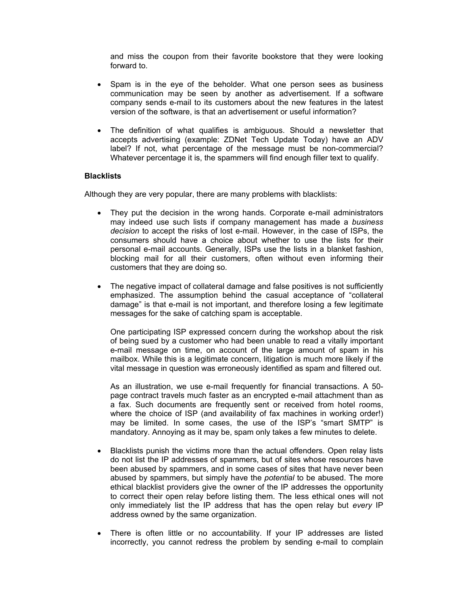and miss the coupon from their favorite bookstore that they were looking forward to.

- Spam is in the eye of the beholder. What one person sees as business communication may be seen by another as advertisement. If a software company sends e-mail to its customers about the new features in the latest version of the software, is that an advertisement or useful information?
- The definition of what qualifies is ambiguous. Should a newsletter that accepts advertising (example: ZDNet Tech Update Today) have an ADV label? If not, what percentage of the message must be non-commercial? Whatever percentage it is, the spammers will find enough filler text to qualify.

### **Blacklists**

Although they are very popular, there are many problems with blacklists:

- They put the decision in the wrong hands. Corporate e-mail administrators may indeed use such lists if company management has made a *business decision* to accept the risks of lost e-mail. However, in the case of ISPs, the consumers should have a choice about whether to use the lists for their personal e-mail accounts. Generally, ISPs use the lists in a blanket fashion, blocking mail for all their customers, often without even informing their customers that they are doing so.
- The negative impact of collateral damage and false positives is not sufficiently emphasized. The assumption behind the casual acceptance of "collateral damage" is that e-mail is not important, and therefore losing a few legitimate messages for the sake of catching spam is acceptable.

One participating ISP expressed concern during the workshop about the risk of being sued by a customer who had been unable to read a vitally important e-mail message on time, on account of the large amount of spam in his mailbox. While this is a legitimate concern, litigation is much more likely if the vital message in question was erroneously identified as spam and filtered out.

As an illustration, we use e-mail frequently for financial transactions. A 50 page contract travels much faster as an encrypted e-mail attachment than as a fax. Such documents are frequently sent or received from hotel rooms, where the choice of ISP (and availability of fax machines in working order!) may be limited. In some cases, the use of the ISP's "smart SMTP" is mandatory. Annoying as it may be, spam only takes a few minutes to delete.

- Blacklists punish the victims more than the actual offenders. Open relay lists do not list the IP addresses of spammers, but of sites whose resources have been abused by spammers, and in some cases of sites that have never been abused by spammers, but simply have the *potential* to be abused. The more ethical blacklist providers give the owner of the IP addresses the opportunity to correct their open relay before listing them. The less ethical ones will not only immediately list the IP address that has the open relay but *every* IP address owned by the same organization.
- There is often little or no accountability. If your IP addresses are listed incorrectly, you cannot redress the problem by sending e-mail to complain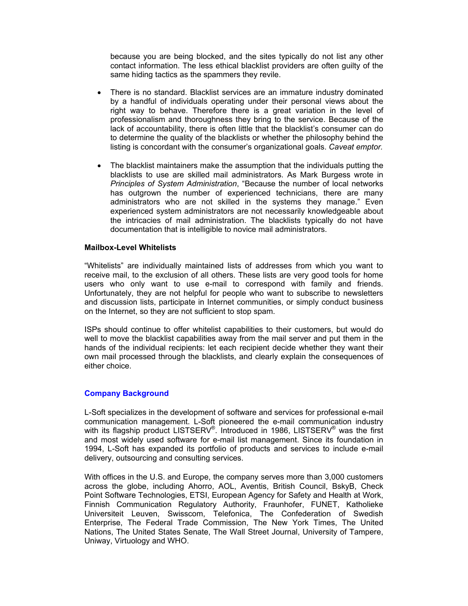because you are being blocked, and the sites typically do not list any other contact information. The less ethical blacklist providers are often guilty of the same hiding tactics as the spammers they revile.

- There is no standard. Blacklist services are an immature industry dominated by a handful of individuals operating under their personal views about the right way to behave. Therefore there is a great variation in the level of professionalism and thoroughness they bring to the service. Because of the lack of accountability, there is often little that the blacklist's consumer can do to determine the quality of the blacklists or whether the philosophy behind the listing is concordant with the consumer's organizational goals. *Caveat emptor.*
- The blacklist maintainers make the assumption that the individuals putting the blacklists to use are skilled mail administrators. As Mark Burgess wrote in *Principles of System Administration*, "Because the number of local networks has outgrown the number of experienced technicians, there are many administrators who are not skilled in the systems they manage." Even experienced system administrators are not necessarily knowledgeable about the intricacies of mail administration. The blacklists typically do not have documentation that is intelligible to novice mail administrators.

### **Mailbox-Level Whitelists**

"Whitelists" are individually maintained lists of addresses from which you want to receive mail, to the exclusion of all others. These lists are very good tools for home users who only want to use e-mail to correspond with family and friends. Unfortunately, they are not helpful for people who want to subscribe to newsletters and discussion lists, participate in Internet communities, or simply conduct business on the Internet, so they are not sufficient to stop spam.

ISPs should continue to offer whitelist capabilities to their customers, but would do well to move the blacklist capabilities away from the mail server and put them in the hands of the individual recipients: let each recipient decide whether they want their own mail processed through the blacklists, and clearly explain the consequences of either choice.

### **Company Background**

L-Soft specializes in the development of software and services for professional e-mail communication management. L-Soft pioneered the e-mail communication industry with its flagship product LISTSERV<sup>®</sup>. Introduced in 1986, LISTSERV<sup>®</sup> was the first and most widely used software for e-mail list management. Since its foundation in 1994, L-Soft has expanded its portfolio of products and services to include e-mail delivery, outsourcing and consulting services.

With offices in the U.S. and Europe, the company serves more than 3,000 customers across the globe, including Ahorro, AOL, Aventis, British Council, BskyB, Check Point Software Technologies, ETSI, European Agency for Safety and Health at Work, Finnish Communication Regulatory Authority, Fraunhofer, FUNET, Katholieke Universiteit Leuven, Swisscom, Telefonica, The Confederation of Swedish Enterprise, The Federal Trade Commission, The New York Times, The United Nations, The United States Senate, The Wall Street Journal, University of Tampere, Uniway, Virtuology and WHO.